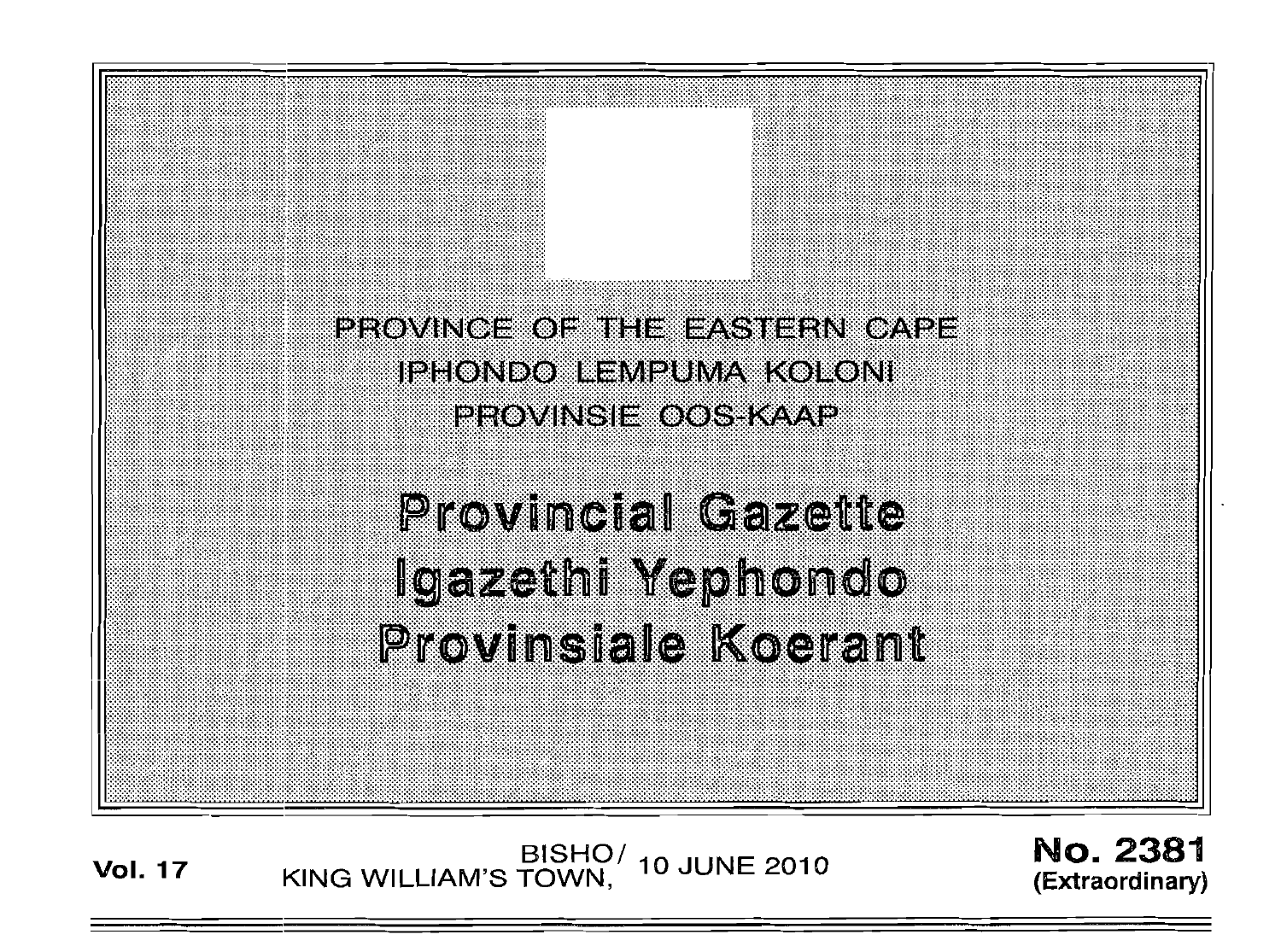

# **Provincial Gazette** Igazethi Yephondo Provinsiale Koerant

BISHO/ 10 JUNE 2010<br>KING WILLIAM'S TOWN, **Vol. 17** 

**No. 2381** (Extraordinary)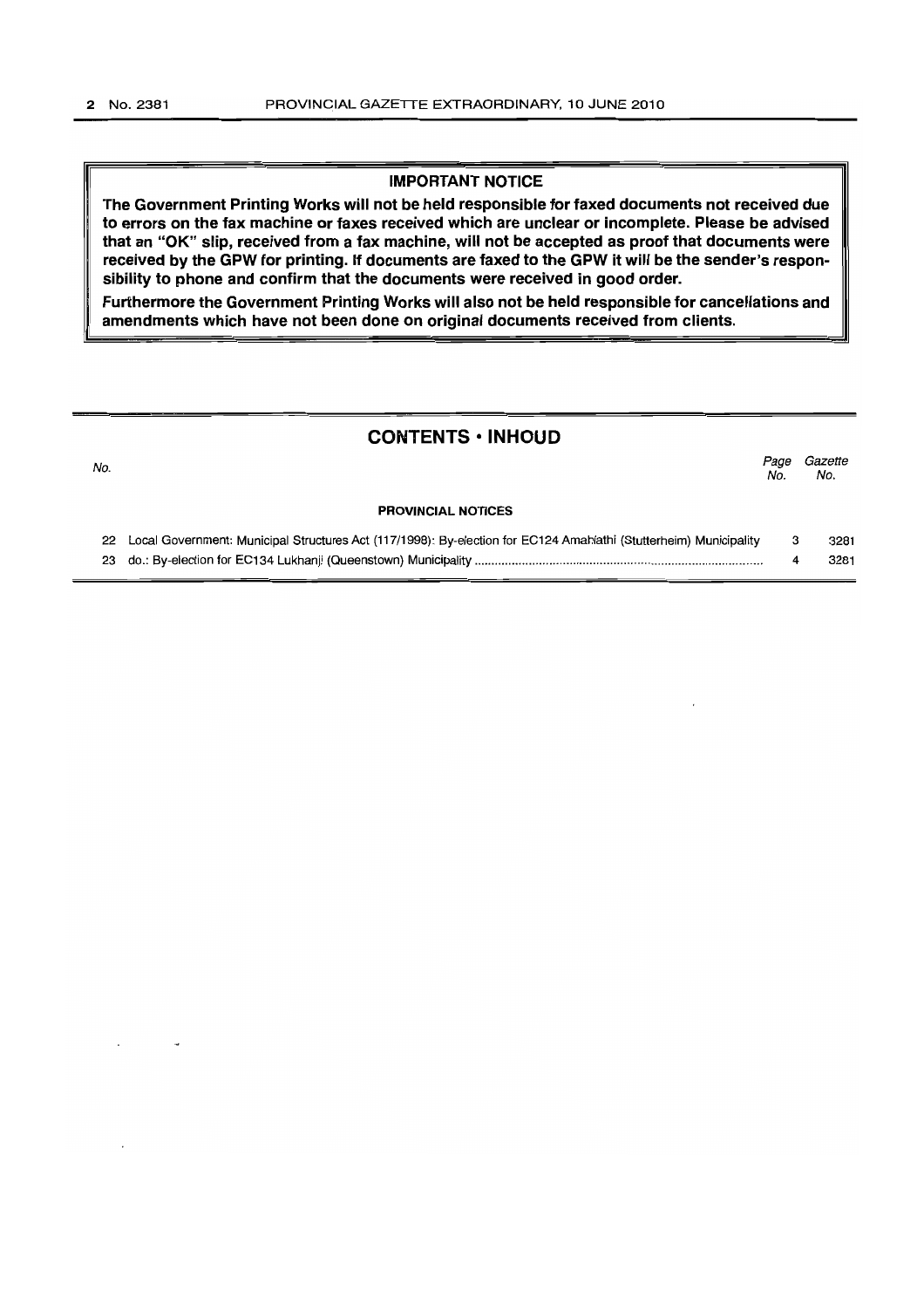## IMPORTANT NOTICE

The Government Printing Works will not be held responsible for faxed documents not received due to errors on the fax machine or faxes received which are unclear or incomplete. Please be advised that an "OK" slip, received from a fax machine, will not be accepted as proof that documents were received by the GPW for printing. If documents are faxed to the GPW it will be the sender's responsibility to phone and confirm that the documents were received in good order.

Furthermore the Government Printing Works will also not be held responsible for cancellations and amendments which have not been done on original documents received from clients.

# CONTENTS • INHOUD

| No. |                                                                                                                      | Page<br>No. | Gazette<br>No. |
|-----|----------------------------------------------------------------------------------------------------------------------|-------------|----------------|
|     | <b>PROVINCIAL NOTICES</b>                                                                                            |             |                |
|     | 22 Local Government: Municipal Structures Act (117/1998): By-election for EC124 Amahlathi (Stutterheim) Municipality |             | 3281           |
|     |                                                                                                                      |             | 3281           |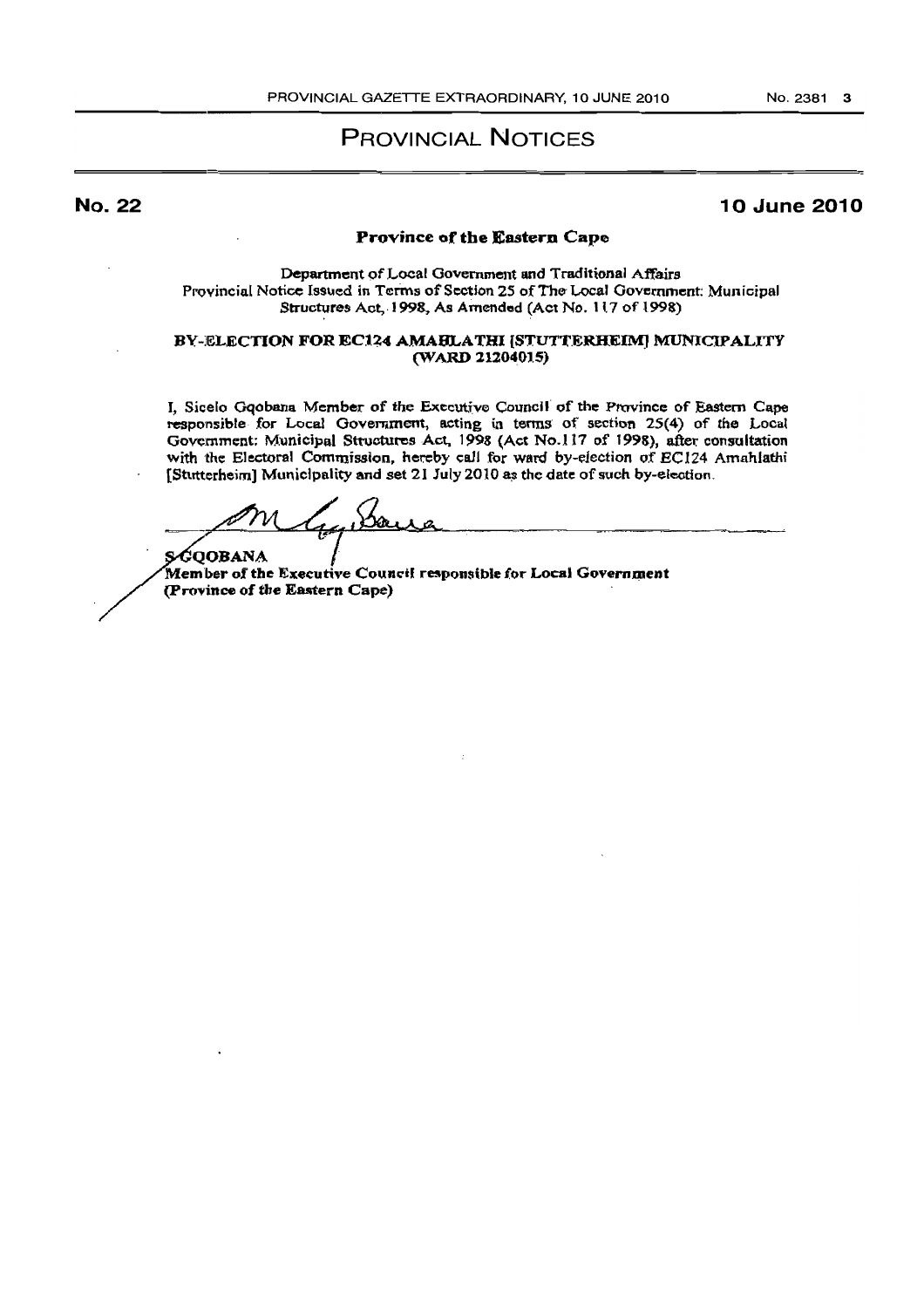# PROVINCIAL NOTICES

No. 22

## 10 June 2010

#### Province of the Eastern Cape

Department ofLocal Government and Traditional Affairs Provincial Notice Issued in Terms of Section 25 of The Local Government: Municipal Structures Act, 1998, As Amended (Act No. 117 of 1998).

#### BY-ELECTION FOR EC124 AMABLATHI [STUTTERHEIM] MUNICIPALITY (WARD 21204015)

J, Sicelo Gqobana Member of the Executive Council of the Province of Eastern Cape responsible for Local Government, acting in terms of section 25(4) of the Local Government: Municipal Structures Act, 1998 (Act No.117 of 1998), after consultation with the Electoral Commission, hereby call for ward by-election of *EC124* Amahlathi [Stutterheim] Municlpality and set 21 July 2010 as the date of such by-election.

with the Electoral Commission, hereby<br>[Stutterheim] Municipality and set 21 Jul<br>2001

s⁄Goobana Member of the Executive Council responsible for Local Government (Province of the Eastern Cape)